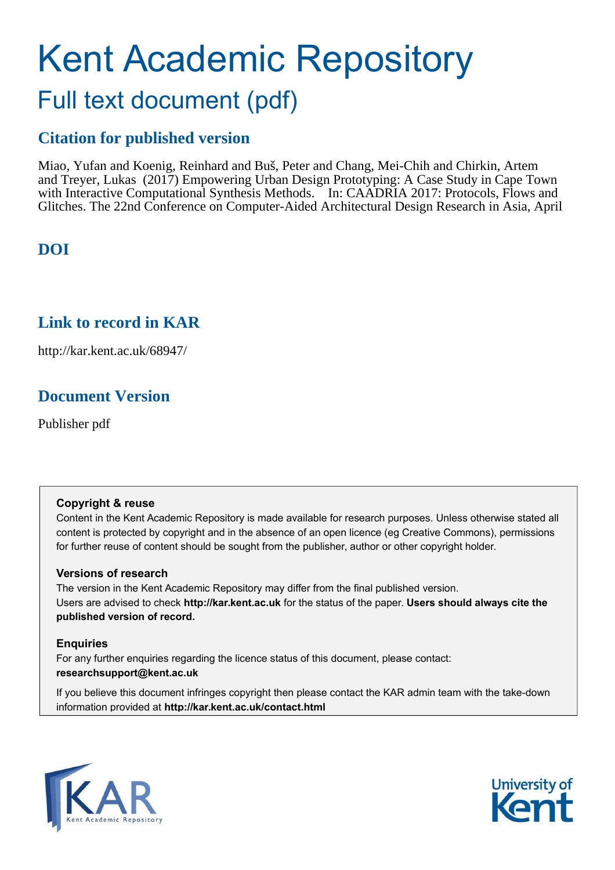# Kent Academic Repository Full text document (pdf)

# **Citation for published version**

Miao, Yufan and Koenig, Reinhard and Buš, Peter and Chang, Mei-Chih and Chirkin, Artem and Treyer, Lukas (2017) Empowering Urban Design Prototyping: A Case Study in Cape Town with Interactive Computational Synthesis Methods. In: CAADRIA 2017: Protocols, Flows and Glitches. The 22nd Conference on Computer-Aided Architectural Design Research in Asia, April

# **DOI**

## **Link to record in KAR**

http://kar.kent.ac.uk/68947/

## **Document Version**

Publisher pdf

## **Copyright & reuse**

Content in the Kent Academic Repository is made available for research purposes. Unless otherwise stated all content is protected by copyright and in the absence of an open licence (eg Creative Commons), permissions for further reuse of content should be sought from the publisher, author or other copyright holder.

## **Versions of research**

The version in the Kent Academic Repository may differ from the final published version. Users are advised to check **http://kar.kent.ac.uk** for the status of the paper. **Users should always cite the published version of record.**

## **Enquiries**

For any further enquiries regarding the licence status of this document, please contact: **researchsupport@kent.ac.uk**

If you believe this document infringes copyright then please contact the KAR admin team with the take-down information provided at **http://kar.kent.ac.uk/contact.html**



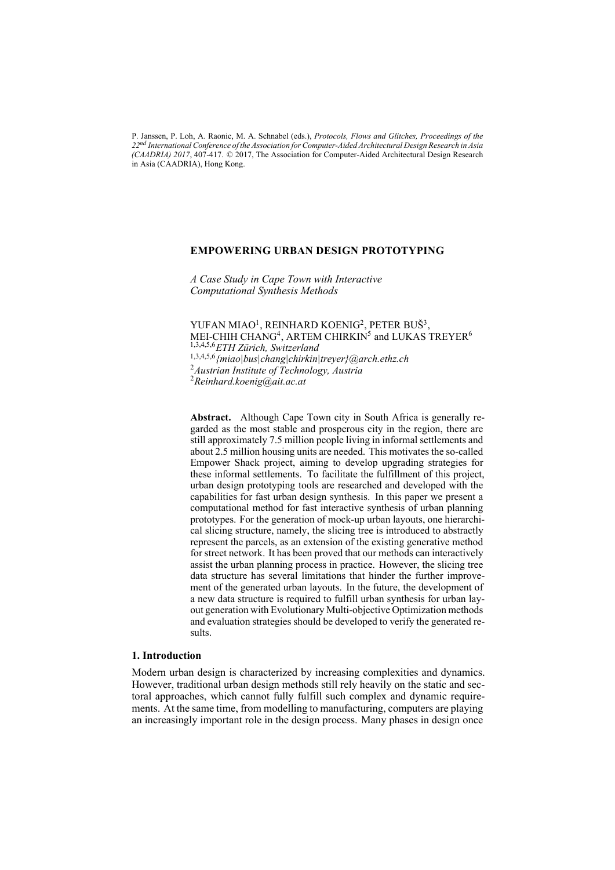P. Janssen, P. Loh, A. Raonic, M. A. Schnabel (eds.), *Protocols, Flows and Glitches, Proceedings of the 22nd International Conference of the Association for Computer-Aided Architectural Design Research in Asia (CAADRIA) 2017*, 407-417. © 2017, The Association for Computer-Aided Architectural Design Research in Asia (CAADRIA), Hong Kong.

#### **EMPOWERING URBAN DESIGN PROTOTYPING**

*A Case Study in Cape Town with Interactive Computational Synthesis Methods* 

YUFAN MIAO<sup>1</sup>, REINHARD KOENIG<sup>2</sup>, PETER BUŠ<sup>3</sup>, MEI-CHIH CHANG<sup>4</sup>, ARTEM CHIRKIN<sup>5</sup> and LUKAS TREYER<sup>6</sup> 1,3,4,5,6*ETH Zürich, Switzerland* 1,3,4,5,6*{miao|bus|chang|chirkin|treyer}@arch.ethz.ch* <sup>2</sup>*Austrian Institute of Technology, Austria* <sup>2</sup>*Reinhard.koenig@ait.ac.at*

**Abstract.** Although Cape Town city in South Africa is generally regarded as the most stable and prosperous city in the region, there are still approximately 7.5 million people living in informal settlements and about 2.5 million housing units are needed. This motivates the so-called Empower Shack project, aiming to develop upgrading strategies for these informal settlements. To facilitate the fulfillment of this project, urban design prototyping tools are researched and developed with the capabilities for fast urban design synthesis. In this paper we present a computational method for fast interactive synthesis of urban planning prototypes. For the generation of mock-up urban layouts, one hierarchical slicing structure, namely, the slicing tree is introduced to abstractly represent the parcels, as an extension of the existing generative method for street network. It has been proved that our methods can interactively assist the urban planning process in practice. However, the slicing tree data structure has several limitations that hinder the further improvement of the generated urban layouts. In the future, the development of a new data structure is required to fulfill urban synthesis for urban layout generation with Evolutionary Multi-objective Optimization methods and evaluation strategies should be developed to verify the generated results.

#### **1. Introduction**

Modern urban design is characterized by increasing complexities and dynamics. However, traditional urban design methods still rely heavily on the static and sectoral approaches, which cannot fully fulfill such complex and dynamic requirements. At the same time, from modelling to manufacturing, computers are playing an increasingly important role in the design process. Many phases in design once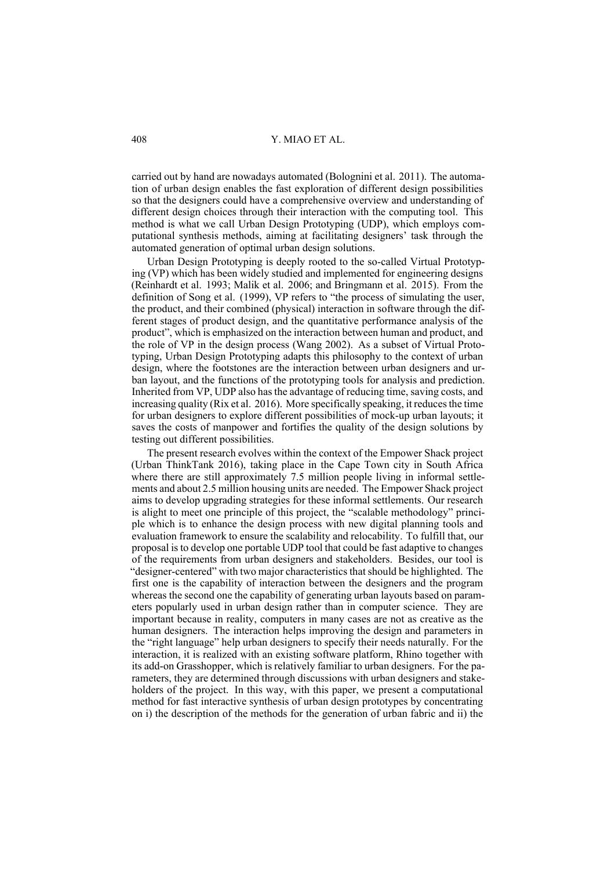carried out by hand are nowadays automated (Bolognini et al. 2011). The automation of urban design enables the fast exploration of different design possibilities so that the designers could have a comprehensive overview and understanding of different design choices through their interaction with the computing tool. This method is what we call Urban Design Prototyping (UDP), which employs computational synthesis methods, aiming at facilitating designers' task through the automated generation of optimal urban design solutions.

Urban Design Prototyping is deeply rooted to the so-called Virtual Prototyping (VP) which has been widely studied and implemented for engineering designs (Reinhardt et al. 1993; Malik et al. 2006; and Bringmann et al. 2015). From the definition of Song et al. (1999), VP refers to "the process of simulating the user, the product, and their combined (physical) interaction in software through the different stages of product design, and the quantitative performance analysis of the product", which is emphasized on the interaction between human and product, and the role of VP in the design process (Wang 2002). As a subset of Virtual Prototyping, Urban Design Prototyping adapts this philosophy to the context of urban design, where the footstones are the interaction between urban designers and urban layout, and the functions of the prototyping tools for analysis and prediction. Inherited from VP, UDP also has the advantage of reducing time, saving costs, and increasing quality (Rix et al. 2016). More specifically speaking, it reduces the time for urban designers to explore different possibilities of mock-up urban layouts; it saves the costs of manpower and fortifies the quality of the design solutions by testing out different possibilities.

The present research evolves within the context of the Empower Shack project (Urban ThinkTank 2016), taking place in the Cape Town city in South Africa where there are still approximately 7.5 million people living in informal settlements and about 2.5 million housing units are needed. The Empower Shack project aims to develop upgrading strategies for these informal settlements. Our research is alight to meet one principle of this project, the "scalable methodology" principle which is to enhance the design process with new digital planning tools and evaluation framework to ensure the scalability and relocability. To fulfill that, our proposal is to develop one portable UDP tool that could be fast adaptive to changes of the requirements from urban designers and stakeholders. Besides, our tool is "designer-centered" with two major characteristics that should be highlighted. The first one is the capability of interaction between the designers and the program whereas the second one the capability of generating urban layouts based on parameters popularly used in urban design rather than in computer science. They are important because in reality, computers in many cases are not as creative as the human designers. The interaction helps improving the design and parameters in the "right language" help urban designers to specify their needs naturally. For the interaction, it is realized with an existing software platform, Rhino together with its add-on Grasshopper, which is relatively familiar to urban designers. For the parameters, they are determined through discussions with urban designers and stakeholders of the project. In this way, with this paper, we present a computational method for fast interactive synthesis of urban design prototypes by concentrating on i) the description of the methods for the generation of urban fabric and ii) the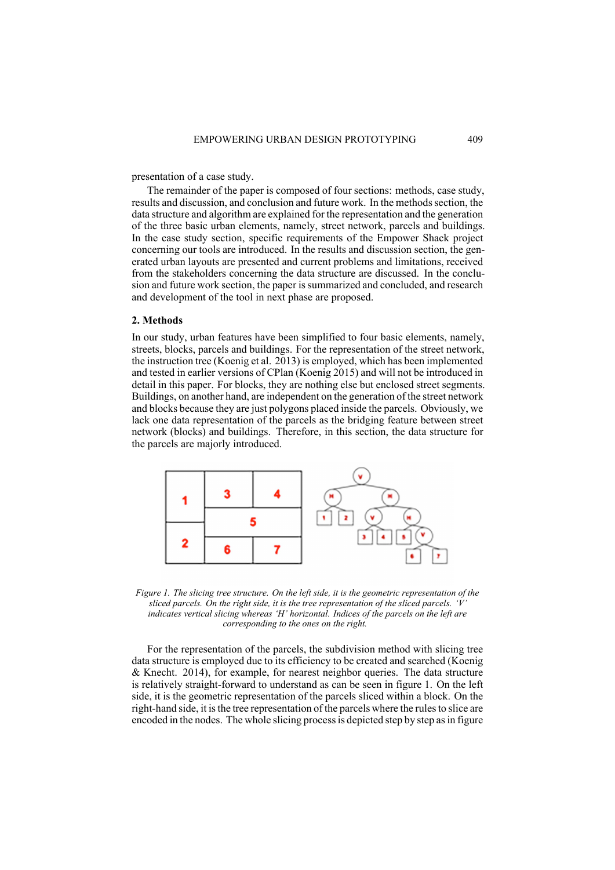presentation of a case study.

The remainder of the paper is composed of four sections: methods, case study, results and discussion, and conclusion and future work. In the methods section, the data structure and algorithm are explained for the representation and the generation of the three basic urban elements, namely, street network, parcels and buildings. In the case study section, specific requirements of the Empower Shack project concerning our tools are introduced. In the results and discussion section, the generated urban layouts are presented and current problems and limitations, received from the stakeholders concerning the data structure are discussed. In the conclusion and future work section, the paper is summarized and concluded, and research and development of the tool in next phase are proposed.

#### **2. Methods**

In our study, urban features have been simplified to four basic elements, namely, streets, blocks, parcels and buildings. For the representation of the street network, the instruction tree (Koenig et al. 2013) is employed, which has been implemented and tested in earlier versions of CPlan (Koenig 2015) and will not be introduced in detail in this paper. For blocks, they are nothing else but enclosed street segments. Buildings, on another hand, are independent on the generation of the street network and blocks because they are just polygons placed inside the parcels. Obviously, we lack one data representation of the parcels as the bridging feature between street network (blocks) and buildings. Therefore, in this section, the data structure for the parcels are majorly introduced.



*Figure 1. The slicing tree structure. On the left side, it is the geometric representation of the sliced parcels. On the right side, it is the tree representation of the sliced parcels. 'V' indicates vertical slicing whereas 'H' horizontal. Indices of the parcels on the left are corresponding to the ones on the right.*

For the representation of the parcels, the subdivision method with slicing tree data structure is employed due to its efficiency to be created and searched (Koenig & Knecht. 2014), for example, for nearest neighbor queries. The data structure is relatively straight-forward to understand as can be seen in figure 1. On the left side, it is the geometric representation of the parcels sliced within a block. On the right-hand side, it is the tree representation of the parcels where the rules to slice are encoded in the nodes. The whole slicing process is depicted step by step as in figure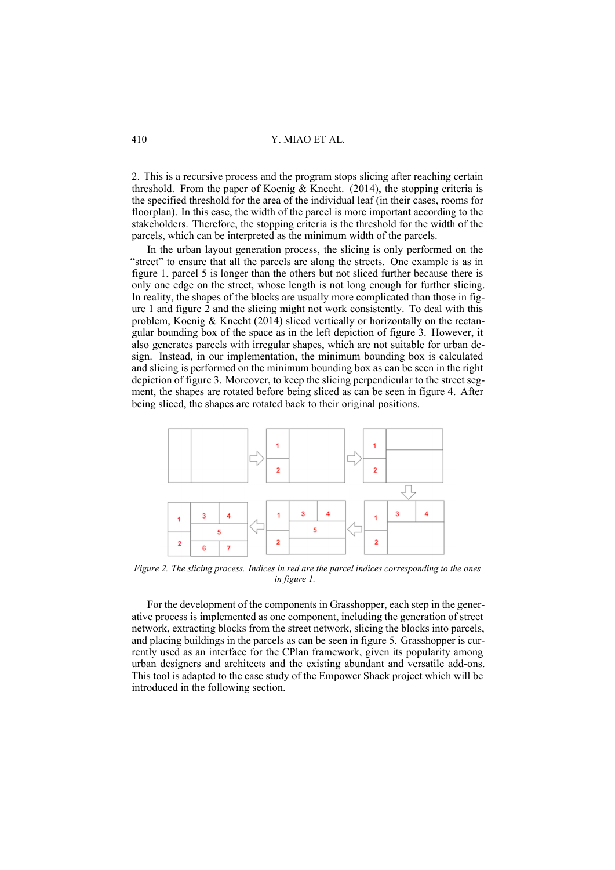2. This is a recursive process and the program stops slicing after reaching certain threshold. From the paper of Koenig & Knecht. (2014), the stopping criteria is the specified threshold for the area of the individual leaf (in their cases, rooms for floorplan). In this case, the width of the parcel is more important according to the stakeholders. Therefore, the stopping criteria is the threshold for the width of the parcels, which can be interpreted as the minimum width of the parcels.

In the urban layout generation process, the slicing is only performed on the "street" to ensure that all the parcels are along the streets. One example is as in figure 1, parcel 5 is longer than the others but not sliced further because there is only one edge on the street, whose length is not long enough for further slicing. In reality, the shapes of the blocks are usually more complicated than those in figure 1 and figure 2 and the slicing might not work consistently. To deal with this problem, Koenig & Knecht (2014) sliced vertically or horizontally on the rectangular bounding box of the space as in the left depiction of figure 3. However, it also generates parcels with irregular shapes, which are not suitable for urban design. Instead, in our implementation, the minimum bounding box is calculated and slicing is performed on the minimum bounding box as can be seen in the right depiction of figure 3. Moreover, to keep the slicing perpendicular to the street segment, the shapes are rotated before being sliced as can be seen in figure 4. After being sliced, the shapes are rotated back to their original positions.



*Figure 2. The slicing process. Indices in red are the parcel indices corresponding to the ones in figure 1.*

For the development of the components in Grasshopper, each step in the generative process is implemented as one component, including the generation of street network, extracting blocks from the street network, slicing the blocks into parcels, and placing buildings in the parcels as can be seen in figure 5. Grasshopper is currently used as an interface for the CPlan framework, given its popularity among urban designers and architects and the existing abundant and versatile add-ons. This tool is adapted to the case study of the Empower Shack project which will be introduced in the following section.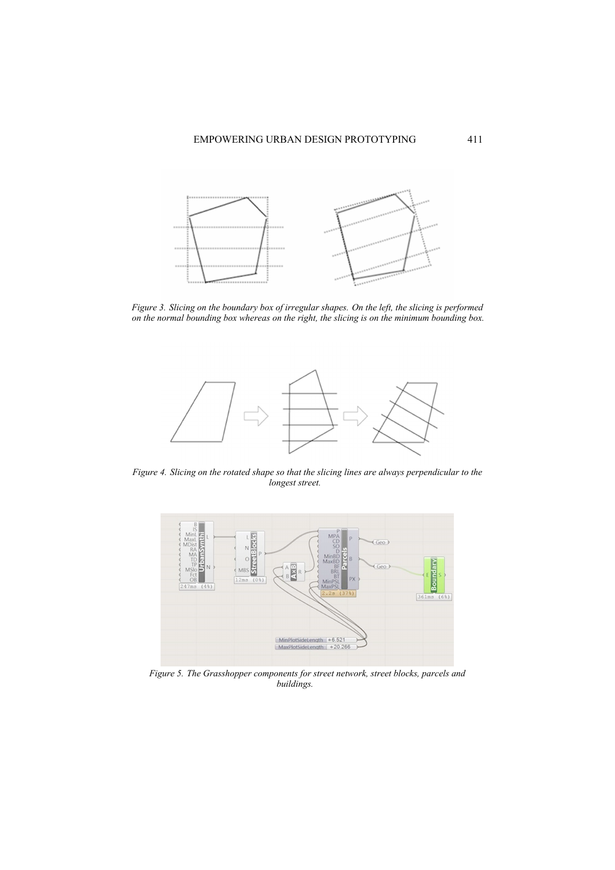

*Figure 3. Slicing on the boundary box of irregular shapes. On the left, the slicing is performed on the normal bounding box whereas on the right, the slicing is on the minimum bounding box.*



*Figure 4. Slicing on the rotated shape so that the slicing lines are always perpendicular to the longest street.*



*Figure 5. The Grasshopper components for street network, street blocks, parcels and buildings.*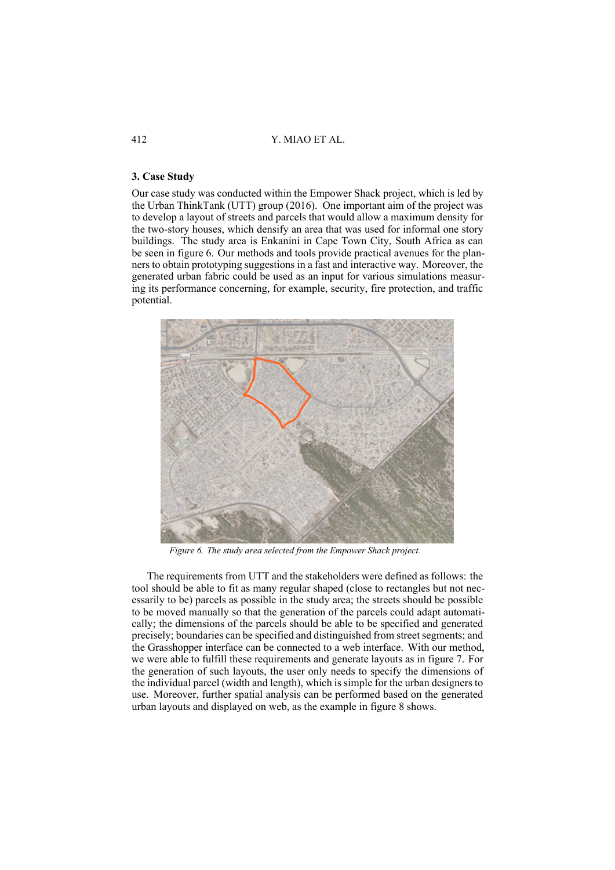#### **3. Case Study**

Our case study was conducted within the Empower Shack project, which is led by the Urban ThinkTank (UTT) group (2016). One important aim of the project was to develop a layout of streets and parcels that would allow a maximum density for the two-story houses, which densify an area that was used for informal one story buildings. The study area is Enkanini in Cape Town City, South Africa as can be seen in figure 6. Our methods and tools provide practical avenues for the planners to obtain prototyping suggestions in a fast and interactive way. Moreover, the generated urban fabric could be used as an input for various simulations measuring its performance concerning, for example, security, fire protection, and traffic potential.



*Figure 6. The study area selected from the Empower Shack project.*

The requirements from UTT and the stakeholders were defined as follows: the tool should be able to fit as many regular shaped (close to rectangles but not necessarily to be) parcels as possible in the study area; the streets should be possible to be moved manually so that the generation of the parcels could adapt automatically; the dimensions of the parcels should be able to be specified and generated precisely; boundaries can be specified and distinguished from street segments; and the Grasshopper interface can be connected to a web interface. With our method, we were able to fulfill these requirements and generate layouts as in figure 7. For the generation of such layouts, the user only needs to specify the dimensions of the individual parcel (width and length), which is simple for the urban designers to use. Moreover, further spatial analysis can be performed based on the generated urban layouts and displayed on web, as the example in figure 8 shows.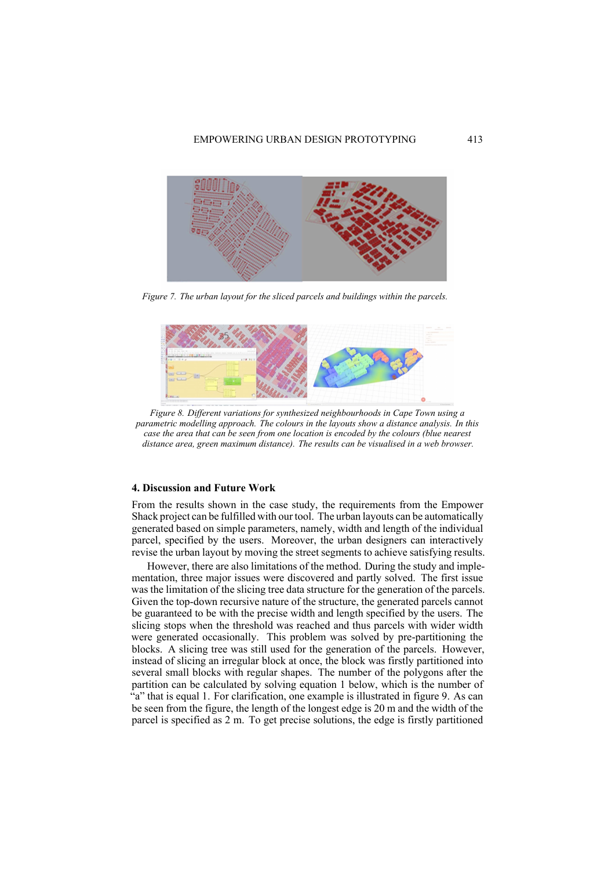

*Figure 7. The urban layout for the sliced parcels and buildings within the parcels.*



*Figure 8. Different variations for synthesized neighbourhoods in Cape Town using a parametric modelling approach. The colours in the layouts show a distance analysis. In this case the area that can be seen from one location is encoded by the colours (blue nearest distance area, green maximum distance). The results can be visualised in a web browser.*

#### **4. Discussion and Future Work**

From the results shown in the case study, the requirements from the Empower Shack project can be fulfilled with our tool. The urban layouts can be automatically generated based on simple parameters, namely, width and length of the individual parcel, specified by the users. Moreover, the urban designers can interactively revise the urban layout by moving the street segments to achieve satisfying results.

However, there are also limitations of the method. During the study and implementation, three major issues were discovered and partly solved. The first issue was the limitation of the slicing tree data structure for the generation of the parcels. Given the top-down recursive nature of the structure, the generated parcels cannot be guaranteed to be with the precise width and length specified by the users. The slicing stops when the threshold was reached and thus parcels with wider width were generated occasionally. This problem was solved by pre-partitioning the blocks. A slicing tree was still used for the generation of the parcels. However, instead of slicing an irregular block at once, the block was firstly partitioned into several small blocks with regular shapes. The number of the polygons after the partition can be calculated by solving equation 1 below, which is the number of "a" that is equal 1. For clarification, one example is illustrated in figure 9. As can be seen from the figure, the length of the longest edge is 20 m and the width of the parcel is specified as 2 m. To get precise solutions, the edge is firstly partitioned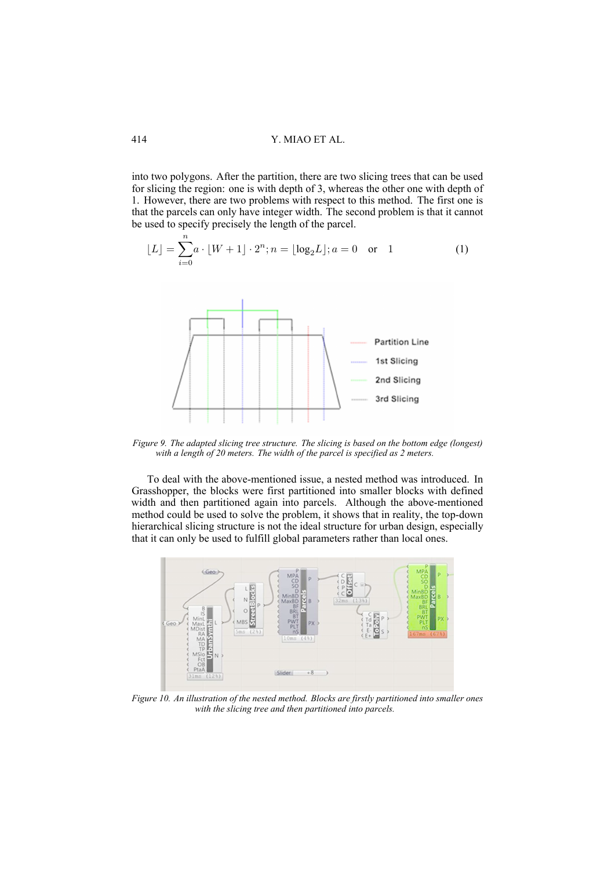into two polygons. After the partition, there are two slicing trees that can be used for slicing the region: one is with depth of 3, whereas the other one with depth of 1. However, there are two problems with respect to this method. The first one is that the parcels can only have integer width. The second problem is that it cannot be used to specify precisely the length of the parcel.

$$
\lfloor L \rfloor = \sum_{i=0}^{n} a \cdot \lfloor W + 1 \rfloor \cdot 2^{n}; n = \lfloor \log_2 L \rfloor; a = 0 \text{ or } 1
$$
 (1)



*Figure 9. The adapted slicing tree structure. The slicing is based on the bottom edge (longest) with a length of 20 meters. The width of the parcel is specified as 2 meters.*

To deal with the above-mentioned issue, a nested method was introduced. In Grasshopper, the blocks were first partitioned into smaller blocks with defined width and then partitioned again into parcels. Although the above-mentioned method could be used to solve the problem, it shows that in reality, the top-down hierarchical slicing structure is not the ideal structure for urban design, especially that it can only be used to fulfill global parameters rather than local ones.



*Figure 10. An illustration of the nested method. Blocks are firstly partitioned into smaller ones with the slicing tree and then partitioned into parcels.*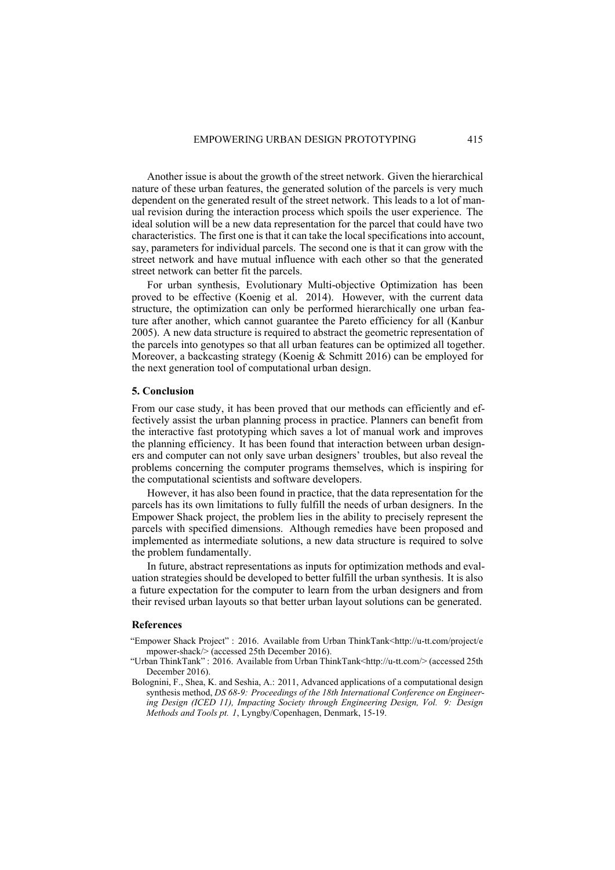Another issue is about the growth of the street network. Given the hierarchical nature of these urban features, the generated solution of the parcels is very much dependent on the generated result of the street network. This leads to a lot of manual revision during the interaction process which spoils the user experience. The ideal solution will be a new data representation for the parcel that could have two characteristics. The first one is that it can take the local specifications into account, say, parameters for individual parcels. The second one is that it can grow with the street network and have mutual influence with each other so that the generated street network can better fit the parcels.

For urban synthesis, Evolutionary Multi-objective Optimization has been proved to be effective (Koenig et al. 2014). However, with the current data structure, the optimization can only be performed hierarchically one urban feature after another, which cannot guarantee the Pareto efficiency for all (Kanbur 2005). A new data structure is required to abstract the geometric representation of the parcels into genotypes so that all urban features can be optimized all together. Moreover, a backcasting strategy (Koenig & Schmitt 2016) can be employed for the next generation tool of computational urban design.

#### **5. Conclusion**

From our case study, it has been proved that our methods can efficiently and effectively assist the urban planning process in practice. Planners can benefit from the interactive fast prototyping which saves a lot of manual work and improves the planning efficiency. It has been found that interaction between urban designers and computer can not only save urban designers' troubles, but also reveal the problems concerning the computer programs themselves, which is inspiring for the computational scientists and software developers.

However, it has also been found in practice, that the data representation for the parcels has its own limitations to fully fulfill the needs of urban designers. In the Empower Shack project, the problem lies in the ability to precisely represent the parcels with specified dimensions. Although remedies have been proposed and implemented as intermediate solutions, a new data structure is required to solve the problem fundamentally.

In future, abstract representations as inputs for optimization methods and evaluation strategies should be developed to better fulfill the urban synthesis. It is also a future expectation for the computer to learn from the urban designers and from their revised urban layouts so that better urban layout solutions can be generated.

#### **References**

- "Empower Shack Project" : 2016. Available from Urban ThinkTank<http://u-tt.com/project/e mpower-shack/> (accessed 25th December 2016).
- "Urban ThinkTank" : 2016. Available from Urban ThinkTank<http://u-tt.com/> (accessed 25th December 2016).
- Bolognini, F., Shea, K. and Seshia, A.: 2011, Advanced applications of a computational design synthesis method, *DS 68-9: Proceedings of the 18th International Conference on Engineering Design (ICED 11), Impacting Society through Engineering Design, Vol. 9: Design Methods and Tools pt. 1*, Lyngby/Copenhagen, Denmark, 15-19.